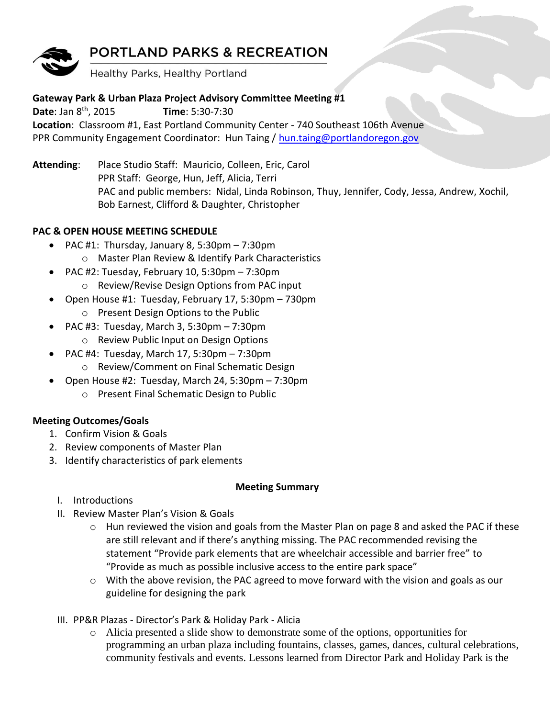# **PORTLAND PARKS & RECREATION**



Healthy Parks, Healthy Portland

## **Gateway Park & Urban Plaza Project Advisory Committee Meeting #1**

**Date**: Jan 8th, 2015 **Time**: 5:30-7:30 **Location**: Classroom #1, East Portland Community Center - 740 Southeast 106th Avenue PPR Community Engagement Coordinator: Hun Taing / [hun.taing@portlandoregon.gov](mailto:hun.taing@portlandoregon.gov)

**Attending**: Place Studio Staff: Mauricio, Colleen, Eric, Carol PPR Staff: George, Hun, Jeff, Alicia, Terri PAC and public members: Nidal, Linda Robinson, Thuy, Jennifer, Cody, Jessa, Andrew, Xochil, Bob Earnest, Clifford & Daughter, Christopher

### **PAC & OPEN HOUSE MEETING SCHEDULE**

- PAC #1: Thursday, January 8, 5:30pm 7:30pm
	- o Master Plan Review & Identify Park Characteristics
- PAC #2: Tuesday, February 10, 5:30pm 7:30pm o Review/Revise Design Options from PAC input
- Open House #1: Tuesday, February 17, 5:30pm 730pm o Present Design Options to the Public
	- PAC #3: Tuesday, March 3, 5:30pm 7:30pm
	- o Review Public Input on Design Options
	- PAC #4: Tuesday, March 17, 5:30pm 7:30pm
		- o Review/Comment on Final Schematic Design
- $\bullet$  Open House #2: Tuesday, March 24, 5:30pm 7:30pm
	- o Present Final Schematic Design to Public

# **Meeting Outcomes/Goals**

- 1. Confirm Vision & Goals
- 2. Review components of Master Plan
- 3. Identify characteristics of park elements

### **Meeting Summary**

- I. Introductions
- II. Review Master Plan's Vision & Goals
	- $\circ$  Hun reviewed the vision and goals from the Master Plan on page 8 and asked the PAC if these are still relevant and if there's anything missing. The PAC recommended revising the statement "Provide park elements that are wheelchair accessible and barrier free" to "Provide as much as possible inclusive access to the entire park space"
	- o With the above revision, the PAC agreed to move forward with the vision and goals as our guideline for designing the park
- III. PP&R Plazas Director's Park & Holiday Park Alicia
	- o Alicia presented a slide show to demonstrate some of the options, opportunities for programming an urban plaza including fountains, classes, games, dances, cultural celebrations, community festivals and events. Lessons learned from Director Park and Holiday Park is the